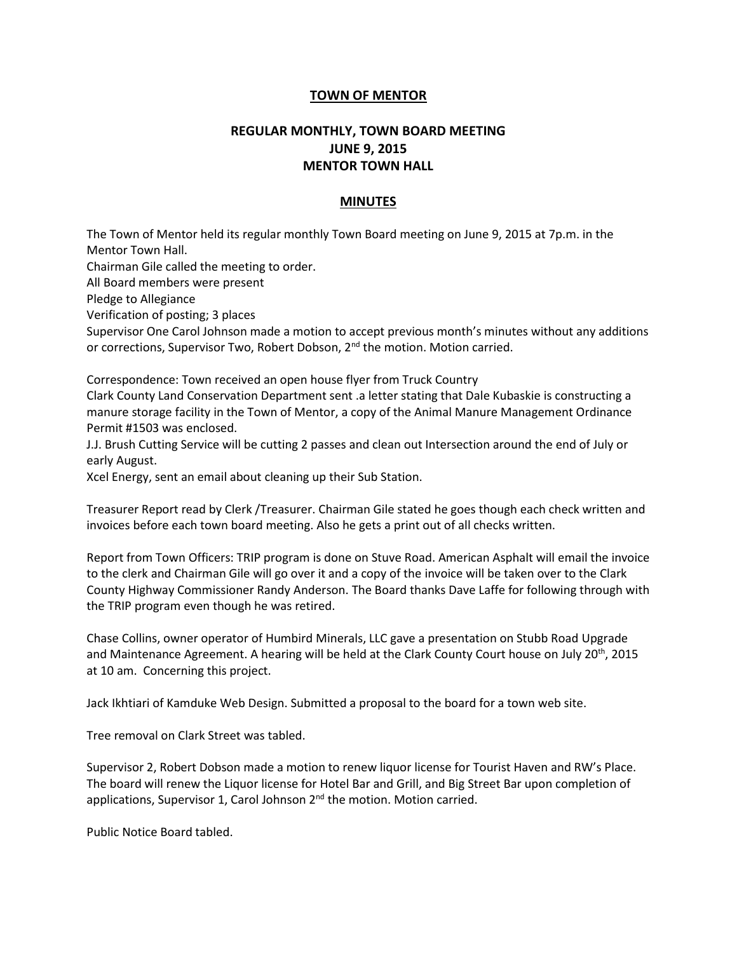## **TOWN OF MENTOR**

## **REGULAR MONTHLY, TOWN BOARD MEETING JUNE 9, 2015 MENTOR TOWN HALL**

## **MINUTES**

The Town of Mentor held its regular monthly Town Board meeting on June 9, 2015 at 7p.m. in the Mentor Town Hall.

Chairman Gile called the meeting to order.

All Board members were present

Pledge to Allegiance

Verification of posting; 3 places

Supervisor One Carol Johnson made a motion to accept previous month's minutes without any additions or corrections, Supervisor Two, Robert Dobson, 2<sup>nd</sup> the motion. Motion carried.

Correspondence: Town received an open house flyer from Truck Country

Clark County Land Conservation Department sent .a letter stating that Dale Kubaskie is constructing a manure storage facility in the Town of Mentor, a copy of the Animal Manure Management Ordinance Permit #1503 was enclosed.

J.J. Brush Cutting Service will be cutting 2 passes and clean out Intersection around the end of July or early August.

Xcel Energy, sent an email about cleaning up their Sub Station.

Treasurer Report read by Clerk /Treasurer. Chairman Gile stated he goes though each check written and invoices before each town board meeting. Also he gets a print out of all checks written.

Report from Town Officers: TRIP program is done on Stuve Road. American Asphalt will email the invoice to the clerk and Chairman Gile will go over it and a copy of the invoice will be taken over to the Clark County Highway Commissioner Randy Anderson. The Board thanks Dave Laffe for following through with the TRIP program even though he was retired.

Chase Collins, owner operator of Humbird Minerals, LLC gave a presentation on Stubb Road Upgrade and Maintenance Agreement. A hearing will be held at the Clark County Court house on July 20<sup>th</sup>, 2015 at 10 am. Concerning this project.

Jack Ikhtiari of Kamduke Web Design. Submitted a proposal to the board for a town web site.

Tree removal on Clark Street was tabled.

Supervisor 2, Robert Dobson made a motion to renew liquor license for Tourist Haven and RW's Place. The board will renew the Liquor license for Hotel Bar and Grill, and Big Street Bar upon completion of applications, Supervisor 1, Carol Johnson 2<sup>nd</sup> the motion. Motion carried.

Public Notice Board tabled.